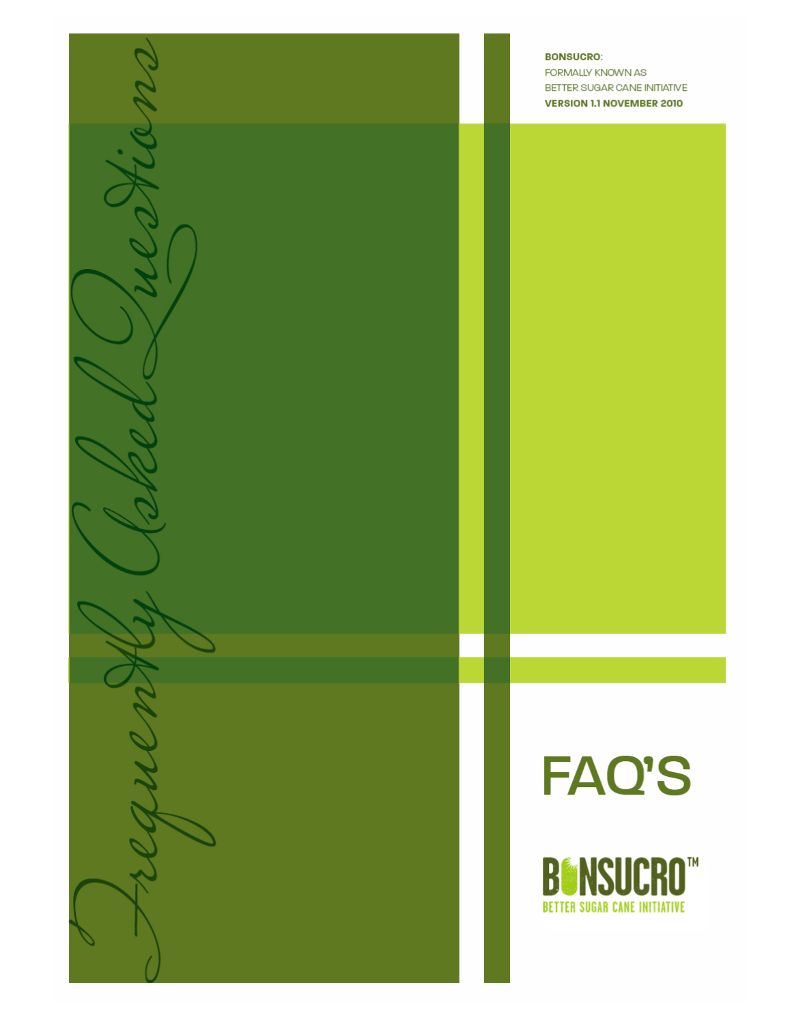

**BONSUCRO:** FORMALLY KNOWN AS BETTER SUGAR CANE INITIATIVE **VERSION 1.1 NOVEMBER 2010** 



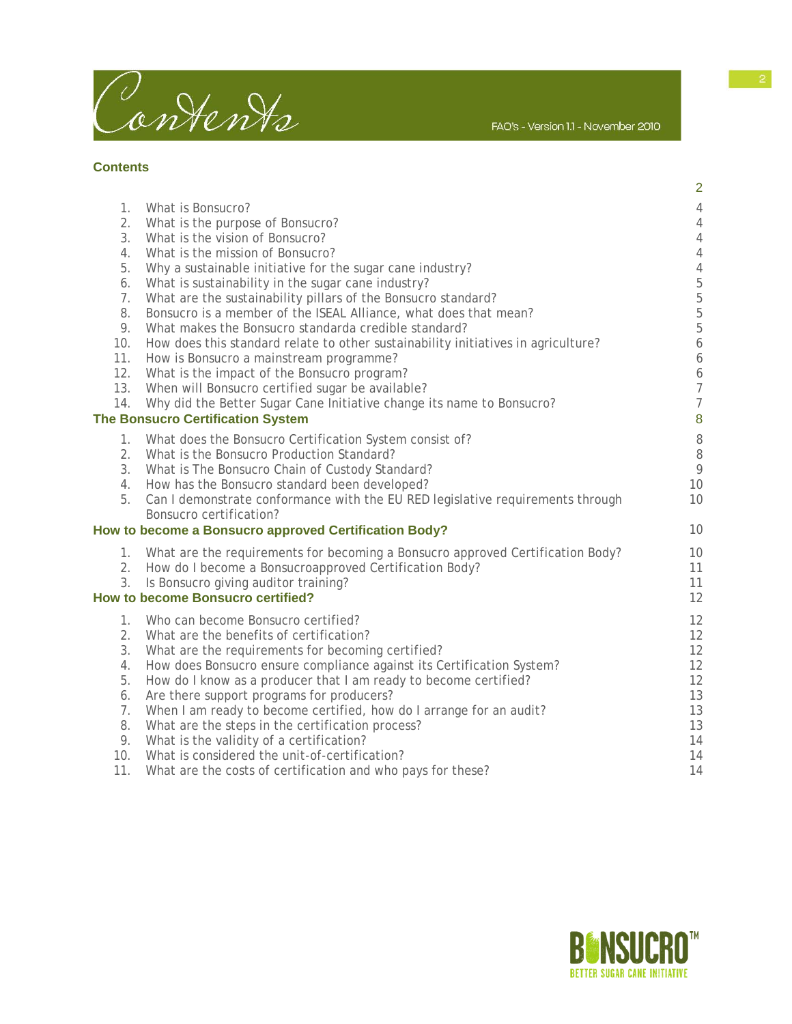

**Contents** 

|                 |                                                                                                                                           | $\overline{2}$                  |
|-----------------|-------------------------------------------------------------------------------------------------------------------------------------------|---------------------------------|
| 1.              | What is Bonsucro?                                                                                                                         | $\overline{4}$                  |
| 2.              | What is the purpose of Bonsucro?                                                                                                          | $\overline{4}$                  |
| 3.              | What is the vision of Bonsucro?                                                                                                           | $\overline{4}$                  |
| 4.              | What is the mission of Bonsucro?                                                                                                          | $\overline{4}$                  |
| 5.              | Why a sustainable initiative for the sugar cane industry?                                                                                 | $\overline{4}$                  |
| 6.              | What is sustainability in the sugar cane industry?                                                                                        | $\overline{5}$                  |
| 7.              | What are the sustainability pillars of the Bonsucro standard?                                                                             | 5                               |
| 8.              | Bonsucro is a member of the ISEAL Alliance, what does that mean?                                                                          | $\overline{5}$                  |
| 9.<br>10.       | What makes the Bonsucro standarda credible standard?<br>How does this standard relate to other sustainability initiatives in agriculture? | $\mathbf 5$<br>$\boldsymbol{6}$ |
| 11.             | How is Bonsucro a mainstream programme?                                                                                                   | 6                               |
| 12.             | What is the impact of the Bonsucro program?                                                                                               | 6                               |
| 13.             | When will Bonsucro certified sugar be available?                                                                                          | $\overline{7}$                  |
| 14.             | Why did the Better Sugar Cane Initiative change its name to Bonsucro?                                                                     | $\overline{7}$                  |
|                 | <b>The Bonsucro Certification System</b>                                                                                                  | $\boldsymbol{8}$                |
| 1.              | What does the Bonsucro Certification System consist of?                                                                                   | 8                               |
| 2.              | What is the Bonsucro Production Standard?                                                                                                 | 8                               |
| 3.              | What is The Bonsucro Chain of Custody Standard?                                                                                           | 9                               |
| 4.              | How has the Bonsucro standard been developed?                                                                                             | 10                              |
| 5.              | Can I demonstrate conformance with the EU RED legislative requirements through                                                            | 10                              |
|                 | Bonsucro certification?                                                                                                                   |                                 |
|                 | How to become a Bonsucro approved Certification Body?                                                                                     | 10                              |
| 1.              | What are the requirements for becoming a Bonsucro approved Certification Body?                                                            | 10                              |
| 2.              | How do I become a Bonsucroapproved Certification Body?                                                                                    | 11                              |
| 3.              | Is Bonsucro giving auditor training?                                                                                                      | 11                              |
|                 | <b>How to become Bonsucro certified?</b>                                                                                                  | 12                              |
| 1.              | Who can become Bonsucro certified?                                                                                                        | 12                              |
| 2.              | What are the benefits of certification?                                                                                                   | 12                              |
| 3.              | What are the requirements for becoming certified?                                                                                         | 12                              |
| 4.              | How does Bonsucro ensure compliance against its Certification System?                                                                     | 12                              |
| 5.              | How do I know as a producer that I am ready to become certified?                                                                          | 12                              |
| 6.              | Are there support programs for producers?                                                                                                 | 13                              |
| 7.<br>8.        | When I am ready to become certified, how do I arrange for an audit?                                                                       | 13                              |
| 9.              | What are the steps in the certification process?<br>What is the validity of a certification?                                              | 13<br>14                        |
| 10 <sub>1</sub> | What is considered the unit-of-certification?                                                                                             | 14                              |
| 11.             | What are the costs of certification and who pays for these?                                                                               | 14                              |
|                 |                                                                                                                                           |                                 |



FAQ's - Version 1.1 - November 2010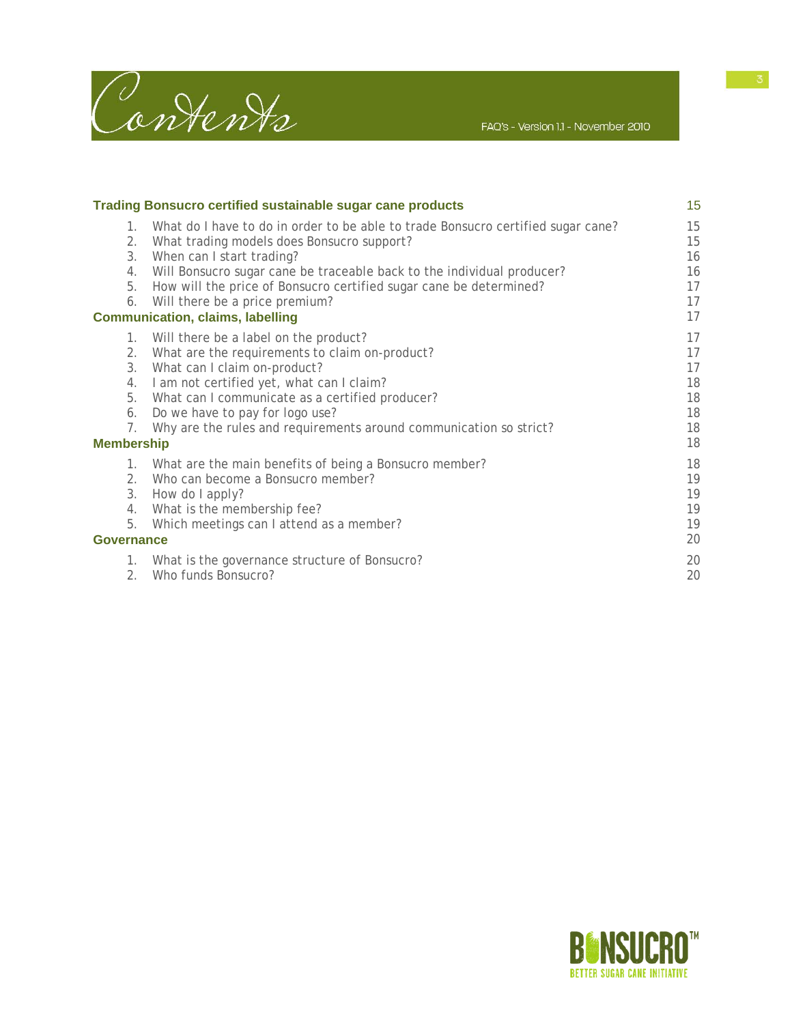

| <b>Trading Bonsucro certified sustainable sugar cane products</b> |                                                                                                                                                                                                                                                                                                                                                                                             | 15                                           |
|-------------------------------------------------------------------|---------------------------------------------------------------------------------------------------------------------------------------------------------------------------------------------------------------------------------------------------------------------------------------------------------------------------------------------------------------------------------------------|----------------------------------------------|
| $1_{\cdot}$<br>3.<br>4.<br>5.<br>6.                               | What do I have to do in order to be able to trade Bonsucro certified sugar cane?<br>2. What trading models does Bonsucro support?<br>When can I start trading?<br>Will Bonsucro sugar cane be traceable back to the individual producer?<br>How will the price of Bonsucro certified sugar cane be determined?<br>Will there be a price premium?<br><b>Communication, claims, labelling</b> | 15<br>15<br>16<br>16<br>17<br>17<br>17       |
| 1.<br>2.<br>3.<br>4.<br>7.<br><b>Membership</b>                   | Will there be a label on the product?<br>What are the requirements to claim on-product?<br>What can I claim on-product?<br>I am not certified yet, what can I claim?<br>5. What can I communicate as a certified producer?<br>6. Do we have to pay for logo use?<br>Why are the rules and requirements around communication so strict?                                                      | 17<br>17<br>17<br>18<br>18<br>18<br>18<br>18 |
| 1.<br>2.<br>3.<br>5.<br><b>Governance</b><br>1.<br>2.             | What are the main benefits of being a Bonsucro member?<br>Who can become a Bonsucro member?<br>How do I apply?<br>4. What is the membership fee?<br>Which meetings can I attend as a member?<br>What is the governance structure of Bonsucro?<br>Who funds Bonsucro?                                                                                                                        | 18<br>19<br>19<br>19<br>19<br>20<br>20<br>20 |

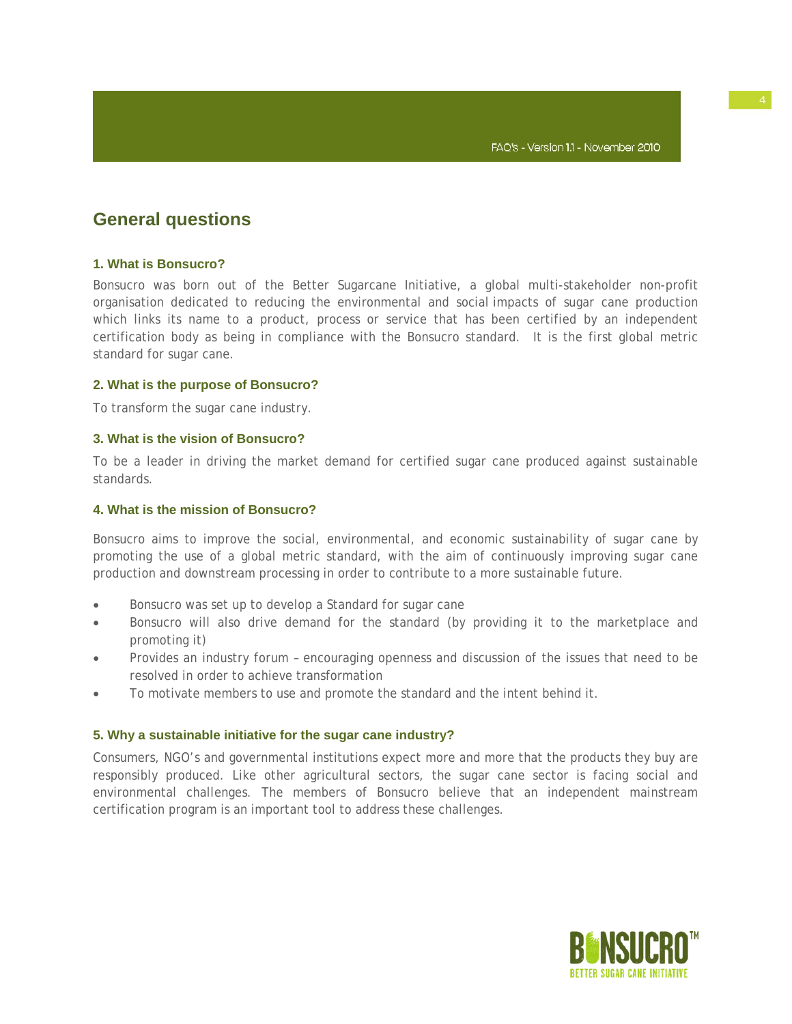# **General questions**

# **1. What is Bonsucro?**

Bonsucro was born out of the Better Sugarcane Initiative, a global multi-stakeholder non-profit organisation dedicated to reducing the environmental and social impacts of sugar cane production which links its name to a product, process or service that has been certified by an independent certification body as being in compliance with the Bonsucro standard. It is the first global metric standard for sugar cane.

# **2. What is the purpose of Bonsucro?**

To transform the sugar cane industry.

# **3. What is the vision of Bonsucro?**

To be a leader in driving the market demand for certified sugar cane produced against sustainable standards.

# **4. What is the mission of Bonsucro?**

Bonsucro aims to improve the social, environmental, and economic sustainability of sugar cane by promoting the use of a global metric standard, with the aim of continuously improving sugar cane production and downstream processing in order to contribute to a more sustainable future.

- Bonsucro was set up to develop a Standard for sugar cane
- Bonsucro will also drive demand for the standard (by providing it to the marketplace and promoting it)
- Provides an industry forum encouraging openness and discussion of the issues that need to be resolved in order to achieve transformation
- To motivate members to use and promote the standard and the intent behind it.

# **5. Why a sustainable initiative for the sugar cane industry?**

Consumers, NGO's and governmental institutions expect more and more that the products they buy are responsibly produced. Like other agricultural sectors, the sugar cane sector is facing social and environmental challenges. The members of Bonsucro believe that an independent mainstream certification program is an important tool to address these challenges.

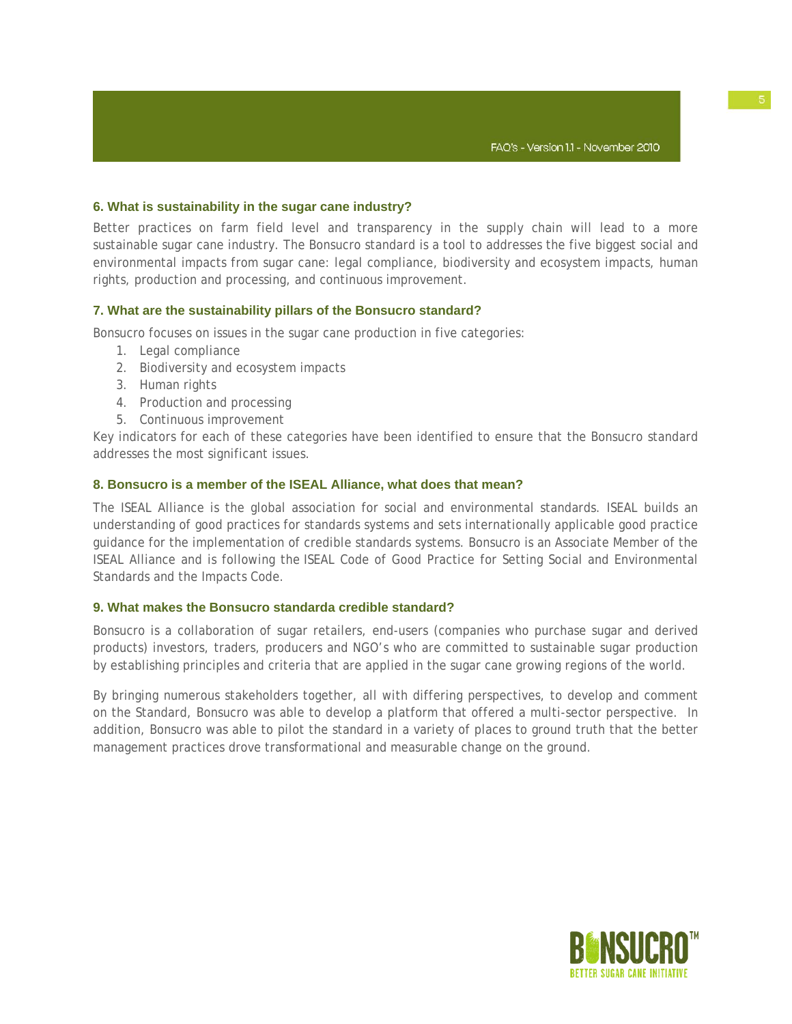# **6. What is sustainability in the sugar cane industry?**

Better practices on farm field level and transparency in the supply chain will lead to a more sustainable sugar cane industry. The Bonsucro standard is a tool to addresses the five biggest social and environmental impacts from sugar cane: legal compliance, biodiversity and ecosystem impacts, human rights, production and processing, and continuous improvement.

### **7. What are the sustainability pillars of the Bonsucro standard?**

Bonsucro focuses on issues in the sugar cane production in five categories:

- 1. Legal compliance
- 2. Biodiversity and ecosystem impacts
- 3. Human rights
- 4. Production and processing
- 5. Continuous improvement

Key indicators for each of these categories have been identified to ensure that the Bonsucro standard addresses the most significant issues.

### **8. Bonsucro is a member of the ISEAL Alliance, what does that mean?**

The ISEAL Alliance is the global association for social and environmental standards. ISEAL builds an understanding of good practices for standards systems and sets internationally applicable good practice guidance for the implementation of credible standards systems. Bonsucro is an Associate Member of the ISEAL Alliance and is following the ISEAL Code of Good Practice for Setting Social and Environmental Standards and the Impacts Code.

# **9. What makes the Bonsucro standarda credible standard?**

Bonsucro is a collaboration of sugar retailers, end-users (companies who purchase sugar and derived products) investors, traders, producers and NGO's who are committed to sustainable sugar production by establishing principles and criteria that are applied in the sugar cane growing regions of the world.

By bringing numerous stakeholders together, all with differing perspectives, to develop and comment on the Standard, Bonsucro was able to develop a platform that offered a multi-sector perspective. In addition, Bonsucro was able to pilot the standard in a variety of places to ground truth that the better management practices drove transformational and measurable change on the ground.

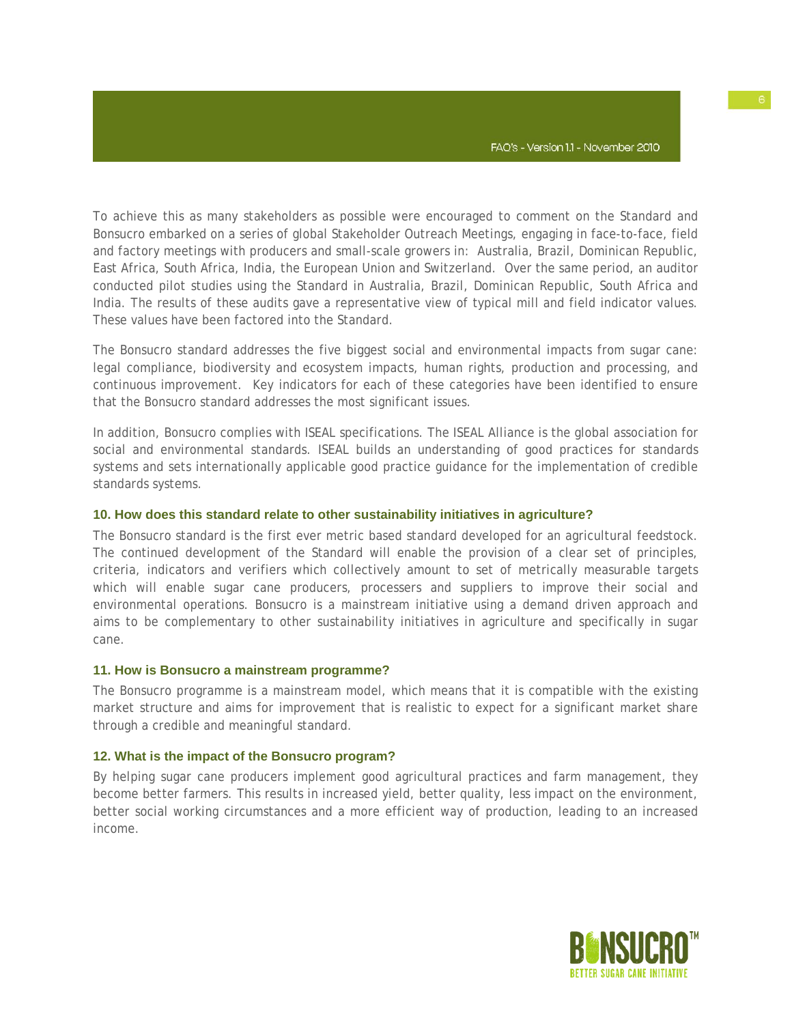To achieve this as many stakeholders as possible were encouraged to comment on the Standard and Bonsucro embarked on a series of global Stakeholder Outreach Meetings, engaging in face-to-face, field and factory meetings with producers and small-scale growers in: Australia, Brazil, Dominican Republic, East Africa, South Africa, India, the European Union and Switzerland. Over the same period, an auditor conducted pilot studies using the Standard in Australia, Brazil, Dominican Republic, South Africa and India. The results of these audits gave a representative view of typical mill and field indicator values. These values have been factored into the Standard.

The Bonsucro standard addresses the five biggest social and environmental impacts from sugar cane: legal compliance, biodiversity and ecosystem impacts, human rights, production and processing, and continuous improvement. Key indicators for each of these categories have been identified to ensure that the Bonsucro standard addresses the most significant issues.

In addition, Bonsucro complies with ISEAL specifications. The ISEAL Alliance is the global association for social and environmental standards. ISEAL builds an understanding of good practices for standards systems and sets internationally applicable good practice guidance for the implementation of credible standards systems.

#### **10. How does this standard relate to other sustainability initiatives in agriculture?**

The Bonsucro standard is the first ever metric based standard developed for an agricultural feedstock. The continued development of the Standard will enable the provision of a clear set of principles, criteria, indicators and verifiers which collectively amount to set of metrically measurable targets which will enable sugar cane producers, processers and suppliers to improve their social and environmental operations. Bonsucro is a mainstream initiative using a demand driven approach and aims to be complementary to other sustainability initiatives in agriculture and specifically in sugar cane.

#### **11. How is Bonsucro a mainstream programme?**

The Bonsucro programme is a mainstream model, which means that it is compatible with the existing market structure and aims for improvement that is realistic to expect for a significant market share through a credible and meaningful standard.

# **12. What is the impact of the Bonsucro program?**

By helping sugar cane producers implement good agricultural practices and farm management, they become better farmers. This results in increased yield, better quality, less impact on the environment, better social working circumstances and a more efficient way of production, leading to an increased income.

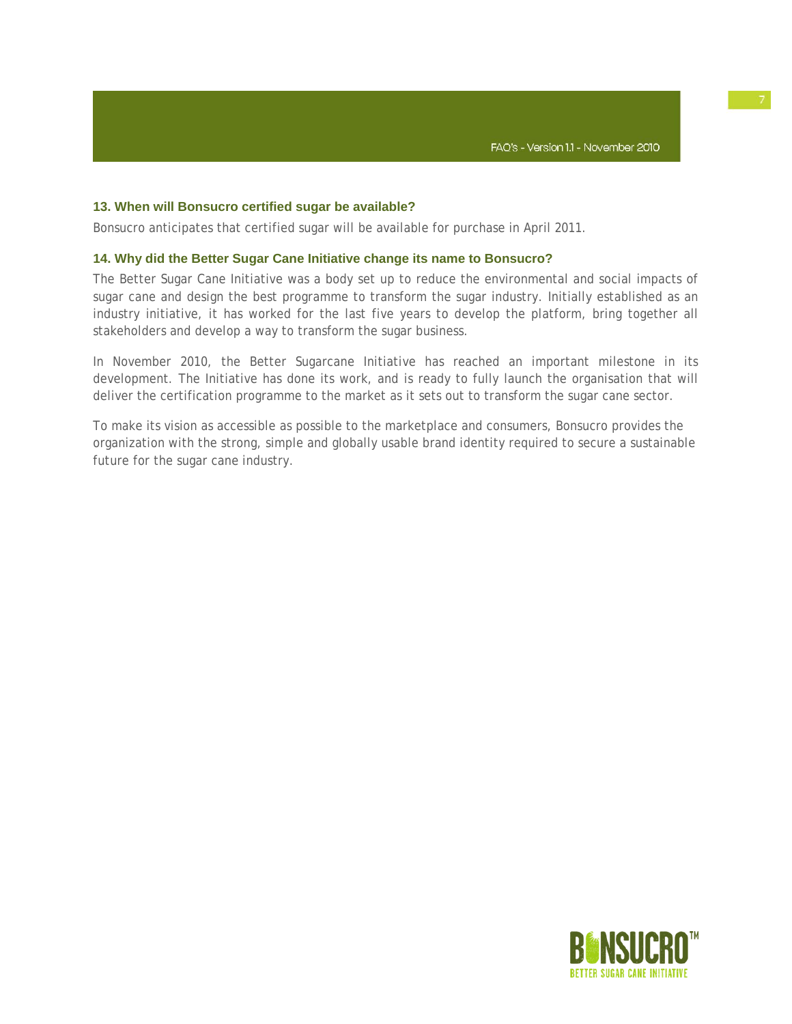# **13. When will Bonsucro certified sugar be available?**

Bonsucro anticipates that certified sugar will be available for purchase in April 2011.

### **14. Why did the Better Sugar Cane Initiative change its name to Bonsucro?**

The Better Sugar Cane Initiative was a body set up to reduce the environmental and social impacts of sugar cane and design the best programme to transform the sugar industry. Initially established as an industry initiative, it has worked for the last five years to develop the platform, bring together all stakeholders and develop a way to transform the sugar business.

In November 2010, the Better Sugarcane Initiative has reached an important milestone in its development. The Initiative has done its work, and is ready to fully launch the organisation that will deliver the certification programme to the market as it sets out to transform the sugar cane sector.

To make its vision as accessible as possible to the marketplace and consumers, Bonsucro provides the organization with the strong, simple and globally usable brand identity required to secure a sustainable future for the sugar cane industry.

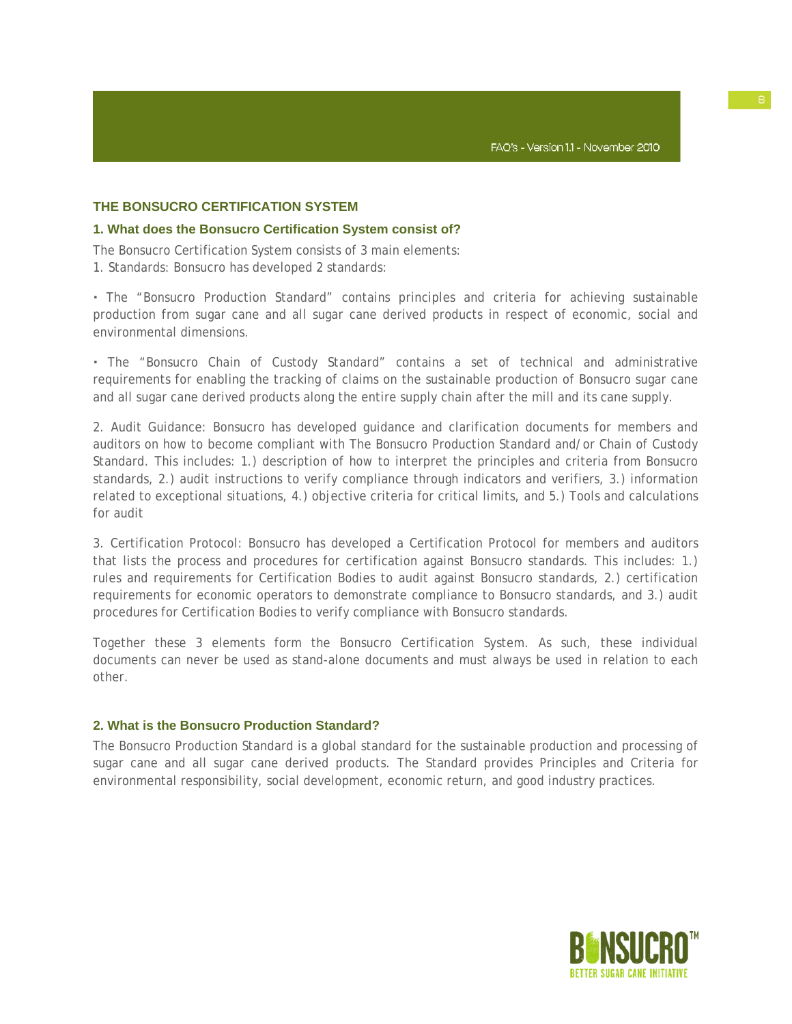# **THE BONSUCRO CERTIFICATION SYSTEM**

# **1. What does the Bonsucro Certification System consist of?**

The Bonsucro Certification System consists of 3 main elements: 1. Standards: Bonsucro has developed 2 standards:

**·** The "Bonsucro Production Standard" contains principles and criteria for achieving sustainable production from sugar cane and all sugar cane derived products in respect of economic, social and environmental dimensions.

**·** The "Bonsucro Chain of Custody Standard" contains a set of technical and administrative requirements for enabling the tracking of claims on the sustainable production of Bonsucro sugar cane and all sugar cane derived products along the entire supply chain after the mill and its cane supply.

2. Audit Guidance: Bonsucro has developed guidance and clarification documents for members and auditors on how to become compliant with The Bonsucro Production Standard and/or Chain of Custody Standard. This includes: 1.) description of how to interpret the principles and criteria from Bonsucro standards, 2.) audit instructions to verify compliance through indicators and verifiers, 3.) information related to exceptional situations, 4.) objective criteria for critical limits, and 5.) Tools and calculations for audit

3. Certification Protocol: Bonsucro has developed a Certification Protocol for members and auditors that lists the process and procedures for certification against Bonsucro standards. This includes: 1.) rules and requirements for Certification Bodies to audit against Bonsucro standards, 2.) certification requirements for economic operators to demonstrate compliance to Bonsucro standards, and 3.) audit procedures for Certification Bodies to verify compliance with Bonsucro standards.

Together these 3 elements form the Bonsucro Certification System. As such, these individual documents can never be used as stand-alone documents and must always be used in relation to each other.

# **2. What is the Bonsucro Production Standard?**

The Bonsucro Production Standard is a global standard for the sustainable production and processing of sugar cane and all sugar cane derived products. The Standard provides Principles and Criteria for environmental responsibility, social development, economic return, and good industry practices.

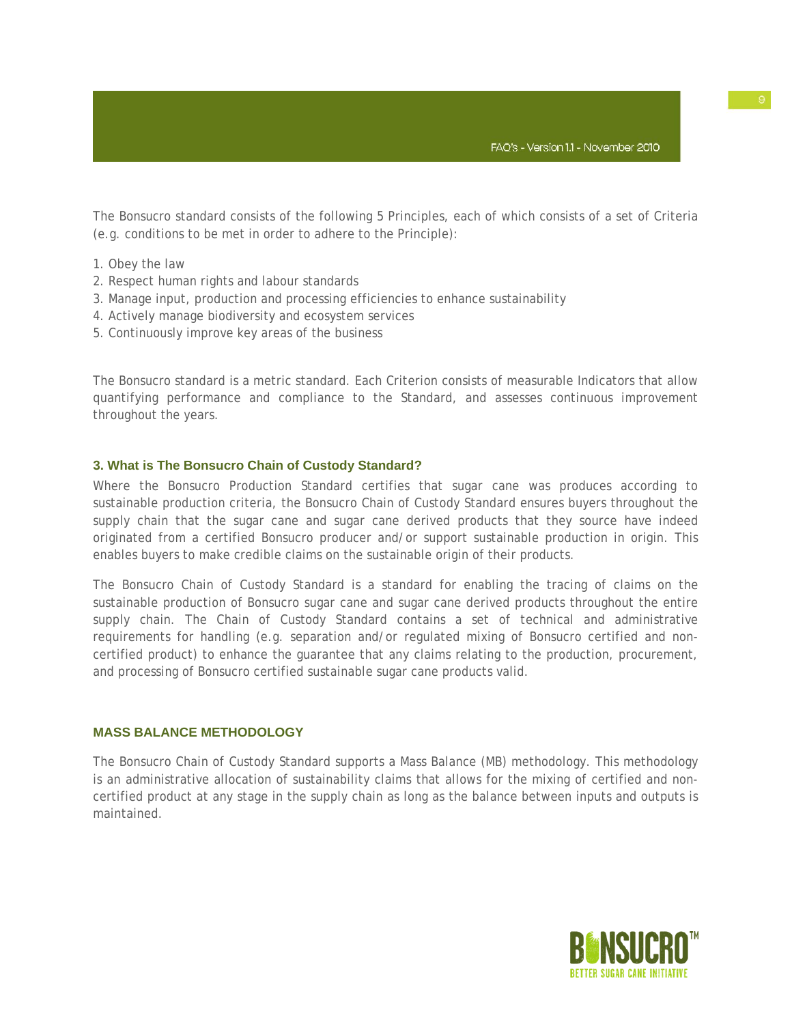The Bonsucro standard consists of the following 5 Principles, each of which consists of a set of Criteria (e.g. conditions to be met in order to adhere to the Principle):

- 1. Obey the law
- 2. Respect human rights and labour standards
- 3. Manage input, production and processing efficiencies to enhance sustainability
- 4. Actively manage biodiversity and ecosystem services
- 5. Continuously improve key areas of the business

The Bonsucro standard is a metric standard. Each Criterion consists of measurable Indicators that allow quantifying performance and compliance to the Standard, and assesses continuous improvement throughout the years.

# **3. What is The Bonsucro Chain of Custody Standard?**

Where the Bonsucro Production Standard certifies that sugar cane was produces according to sustainable production criteria, the Bonsucro Chain of Custody Standard ensures buyers throughout the supply chain that the sugar cane and sugar cane derived products that they source have indeed originated from a certified Bonsucro producer and/or support sustainable production in origin. This enables buyers to make credible claims on the sustainable origin of their products.

The Bonsucro Chain of Custody Standard is a standard for enabling the tracing of claims on the sustainable production of Bonsucro sugar cane and sugar cane derived products throughout the entire supply chain. The Chain of Custody Standard contains a set of technical and administrative requirements for handling (e.g. separation and/or regulated mixing of Bonsucro certified and noncertified product) to enhance the guarantee that any claims relating to the production, procurement, and processing of Bonsucro certified sustainable sugar cane products valid.

# **MASS BALANCE METHODOLOGY**

The Bonsucro Chain of Custody Standard supports a Mass Balance (MB) methodology. This methodology is an administrative allocation of sustainability claims that allows for the mixing of certified and noncertified product at any stage in the supply chain as long as the balance between inputs and outputs is maintained.

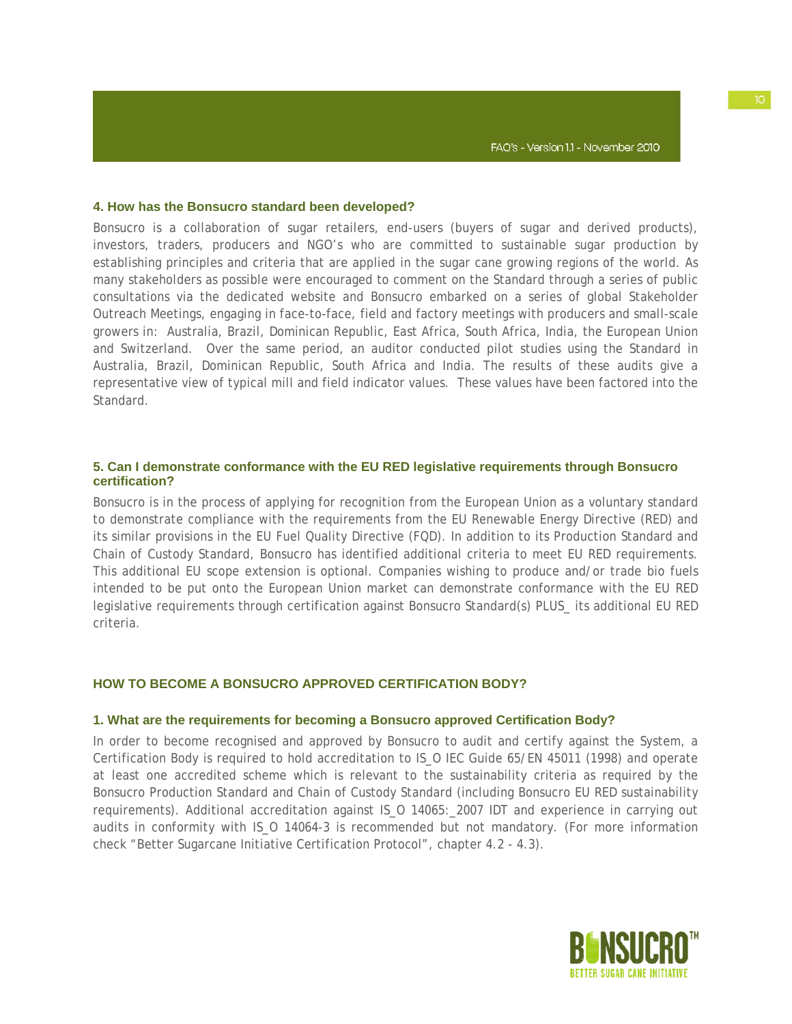#### **4. How has the Bonsucro standard been developed?**

Bonsucro is a collaboration of sugar retailers, end-users (buyers of sugar and derived products), investors, traders, producers and NGO's who are committed to sustainable sugar production by establishing principles and criteria that are applied in the sugar cane growing regions of the world. As many stakeholders as possible were encouraged to comment on the Standard through a series of public consultations via the dedicated website and Bonsucro embarked on a series of global Stakeholder Outreach Meetings, engaging in face-to-face, field and factory meetings with producers and small-scale growers in: Australia, Brazil, Dominican Republic, East Africa, South Africa, India, the European Union and Switzerland. Over the same period, an auditor conducted pilot studies using the Standard in Australia, Brazil, Dominican Republic, South Africa and India. The results of these audits give a representative view of typical mill and field indicator values. These values have been factored into the Standard.

# **5. Can I demonstrate conformance with the EU RED legislative requirements through Bonsucro certification?**

Bonsucro is in the process of applying for recognition from the European Union as a voluntary standard to demonstrate compliance with the requirements from the EU Renewable Energy Directive (RED) and its similar provisions in the EU Fuel Quality Directive (FQD). In addition to its Production Standard and Chain of Custody Standard, Bonsucro has identified additional criteria to meet EU RED requirements. This additional EU scope extension is optional. Companies wishing to produce and/or trade bio fuels intended to be put onto the European Union market can demonstrate conformance with the EU RED legislative requirements through certification against Bonsucro Standard(s) PLUS\_ its additional EU RED criteria.

# **HOW TO BECOME A BONSUCRO APPROVED CERTIFICATION BODY?**

#### **1. What are the requirements for becoming a Bonsucro approved Certification Body?**

In order to become recognised and approved by Bonsucro to audit and certify against the System, a Certification Body is required to hold accreditation to IS\_O IEC Guide 65/EN 45011 (1998) and operate at least one accredited scheme which is relevant to the sustainability criteria as required by the Bonsucro Production Standard and Chain of Custody Standard (including Bonsucro EU RED sustainability requirements). Additional accreditation against IS\_O 14065:\_2007 IDT and experience in carrying out audits in conformity with IS\_O 14064-3 is recommended but not mandatory. (For more information check "Better Sugarcane Initiative Certification Protocol", chapter 4.2 - 4.3).

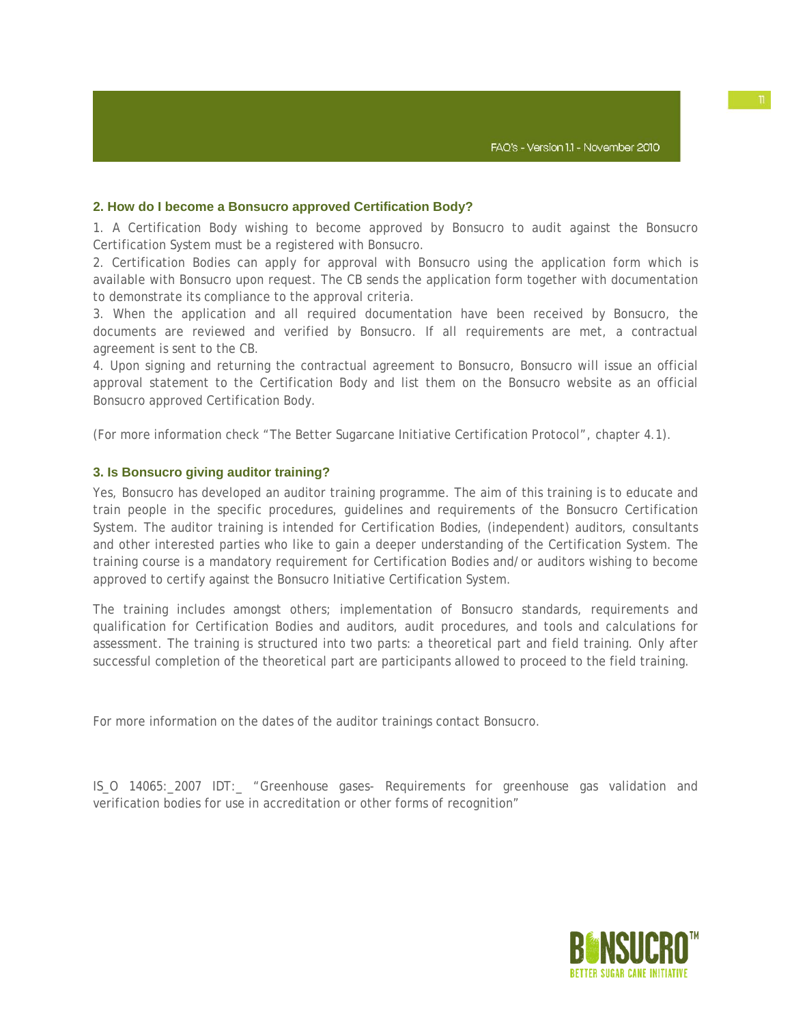# **2. How do I become a Bonsucro approved Certification Body?**

1. A Certification Body wishing to become approved by Bonsucro to audit against the Bonsucro Certification System must be a registered with Bonsucro.

2. Certification Bodies can apply for approval with Bonsucro using the application form which is available with Bonsucro upon request. The CB sends the application form together with documentation to demonstrate its compliance to the approval criteria.

3. When the application and all required documentation have been received by Bonsucro, the documents are reviewed and verified by Bonsucro. If all requirements are met, a contractual agreement is sent to the CB.

4. Upon signing and returning the contractual agreement to Bonsucro, Bonsucro will issue an official approval statement to the Certification Body and list them on the Bonsucro website as an official Bonsucro approved Certification Body.

(For more information check "The Better Sugarcane Initiative Certification Protocol", chapter 4.1).

# **3. Is Bonsucro giving auditor training?**

Yes, Bonsucro has developed an auditor training programme. The aim of this training is to educate and train people in the specific procedures, guidelines and requirements of the Bonsucro Certification System. The auditor training is intended for Certification Bodies, (independent) auditors, consultants and other interested parties who like to gain a deeper understanding of the Certification System. The training course is a mandatory requirement for Certification Bodies and/or auditors wishing to become approved to certify against the Bonsucro Initiative Certification System.

The training includes amongst others; implementation of Bonsucro standards, requirements and qualification for Certification Bodies and auditors, audit procedures, and tools and calculations for assessment. The training is structured into two parts: a theoretical part and field training. Only after successful completion of the theoretical part are participants allowed to proceed to the field training.

For more information on the dates of the auditor trainings contact Bonsucro.

IS\_O 14065:\_2007 IDT:\_ "Greenhouse gases- Requirements for greenhouse gas validation and verification bodies for use in accreditation or other forms of recognition"

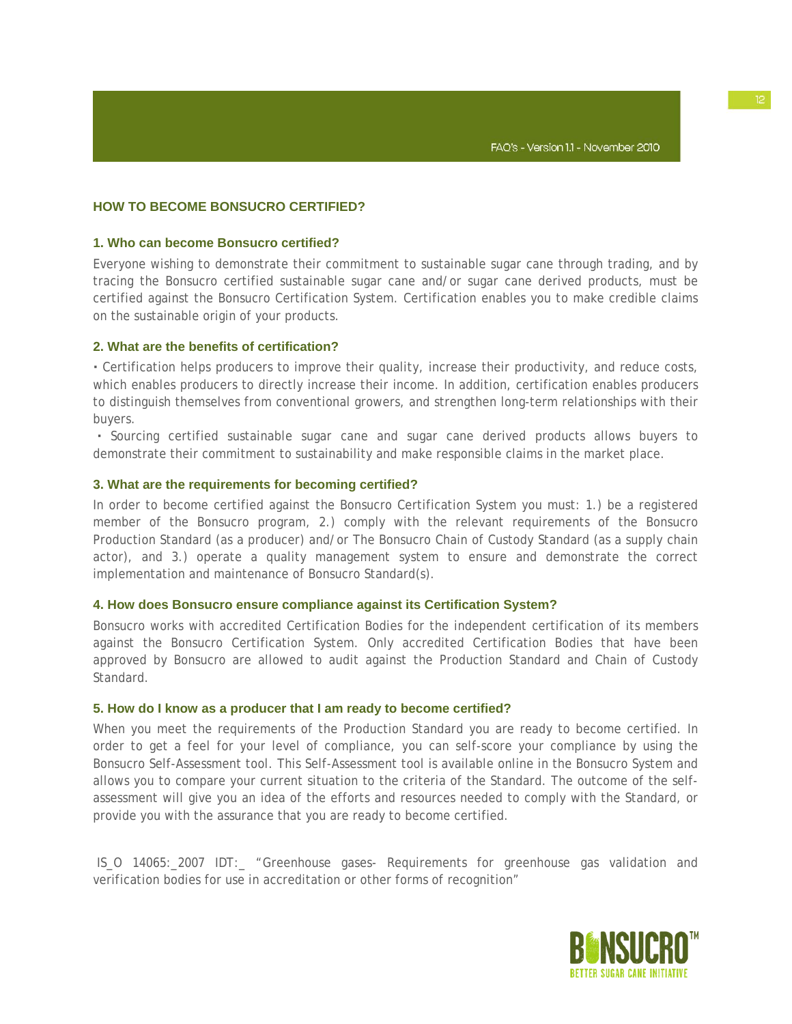# **HOW TO BECOME BONSUCRO CERTIFIED?**

### **1. Who can become Bonsucro certified?**

Everyone wishing to demonstrate their commitment to sustainable sugar cane through trading, and by tracing the Bonsucro certified sustainable sugar cane and/or sugar cane derived products, must be certified against the Bonsucro Certification System. Certification enables you to make credible claims on the sustainable origin of your products.

#### **2. What are the benefits of certification?**

**·** Certification helps producers to improve their quality, increase their productivity, and reduce costs, which enables producers to directly increase their income. In addition, certification enables producers to distinguish themselves from conventional growers, and strengthen long-term relationships with their buyers.

**·** Sourcing certified sustainable sugar cane and sugar cane derived products allows buyers to demonstrate their commitment to sustainability and make responsible claims in the market place.

### **3. What are the requirements for becoming certified?**

In order to become certified against the Bonsucro Certification System you must: 1.) be a registered member of the Bonsucro program, 2.) comply with the relevant requirements of the Bonsucro Production Standard (as a producer) and/or The Bonsucro Chain of Custody Standard (as a supply chain actor), and 3.) operate a quality management system to ensure and demonstrate the correct implementation and maintenance of Bonsucro Standard(s).

### **4. How does Bonsucro ensure compliance against its Certification System?**

Bonsucro works with accredited Certification Bodies for the independent certification of its members against the Bonsucro Certification System. Only accredited Certification Bodies that have been approved by Bonsucro are allowed to audit against the Production Standard and Chain of Custody Standard.

#### **5. How do I know as a producer that I am ready to become certified?**

When you meet the requirements of the Production Standard you are ready to become certified. In order to get a feel for your level of compliance, you can self-score your compliance by using the Bonsucro Self-Assessment tool. This Self-Assessment tool is available online in the Bonsucro System and allows you to compare your current situation to the criteria of the Standard. The outcome of the selfassessment will give you an idea of the efforts and resources needed to comply with the Standard, or provide you with the assurance that you are ready to become certified.

IS O 14065: 2007 IDT: "Greenhouse gases- Requirements for greenhouse gas validation and verification bodies for use in accreditation or other forms of recognition"

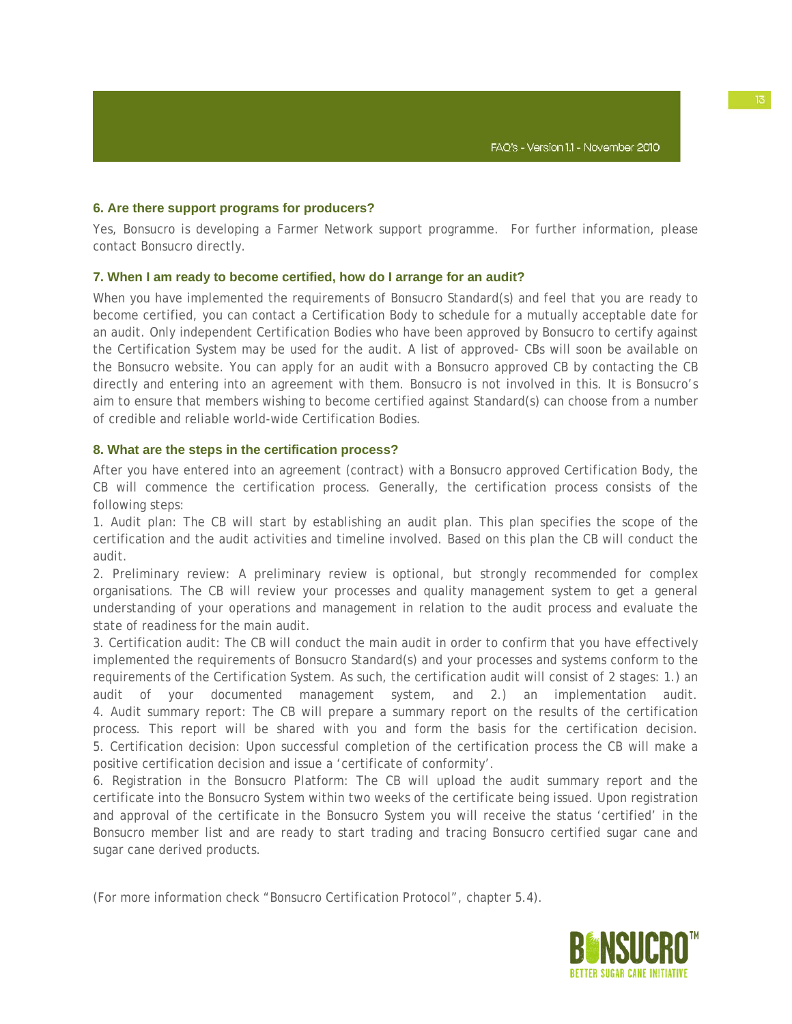# **6. Are there support programs for producers?**

Yes, Bonsucro is developing a Farmer Network support programme. For further information, please contact Bonsucro directly.

# **7. When I am ready to become certified, how do I arrange for an audit?**

When you have implemented the requirements of Bonsucro Standard(s) and feel that you are ready to become certified, you can contact a Certification Body to schedule for a mutually acceptable date for an audit. Only independent Certification Bodies who have been approved by Bonsucro to certify against the Certification System may be used for the audit. A list of approved- CBs will soon be available on the Bonsucro website. You can apply for an audit with a Bonsucro approved CB by contacting the CB directly and entering into an agreement with them. Bonsucro is not involved in this. It is Bonsucro's aim to ensure that members wishing to become certified against Standard(s) can choose from a number of credible and reliable world-wide Certification Bodies.

### **8. What are the steps in the certification process?**

After you have entered into an agreement (contract) with a Bonsucro approved Certification Body, the CB will commence the certification process. Generally, the certification process consists of the following steps:

1. Audit plan: The CB will start by establishing an audit plan. This plan specifies the scope of the certification and the audit activities and timeline involved. Based on this plan the CB will conduct the audit.

2. Preliminary review: A preliminary review is optional, but strongly recommended for complex organisations. The CB will review your processes and quality management system to get a general understanding of your operations and management in relation to the audit process and evaluate the state of readiness for the main audit.

3. Certification audit: The CB will conduct the main audit in order to confirm that you have effectively implemented the requirements of Bonsucro Standard(s) and your processes and systems conform to the requirements of the Certification System. As such, the certification audit will consist of 2 stages: 1.) an audit of your documented management system, and 2.) an implementation audit. 4. Audit summary report: The CB will prepare a summary report on the results of the certification process. This report will be shared with you and form the basis for the certification decision. 5. Certification decision: Upon successful completion of the certification process the CB will make a positive certification decision and issue a 'certificate of conformity'.

6. Registration in the Bonsucro Platform: The CB will upload the audit summary report and the certificate into the Bonsucro System within two weeks of the certificate being issued. Upon registration and approval of the certificate in the Bonsucro System you will receive the status 'certified' in the Bonsucro member list and are ready to start trading and tracing Bonsucro certified sugar cane and sugar cane derived products.

(For more information check "Bonsucro Certification Protocol", chapter 5.4).

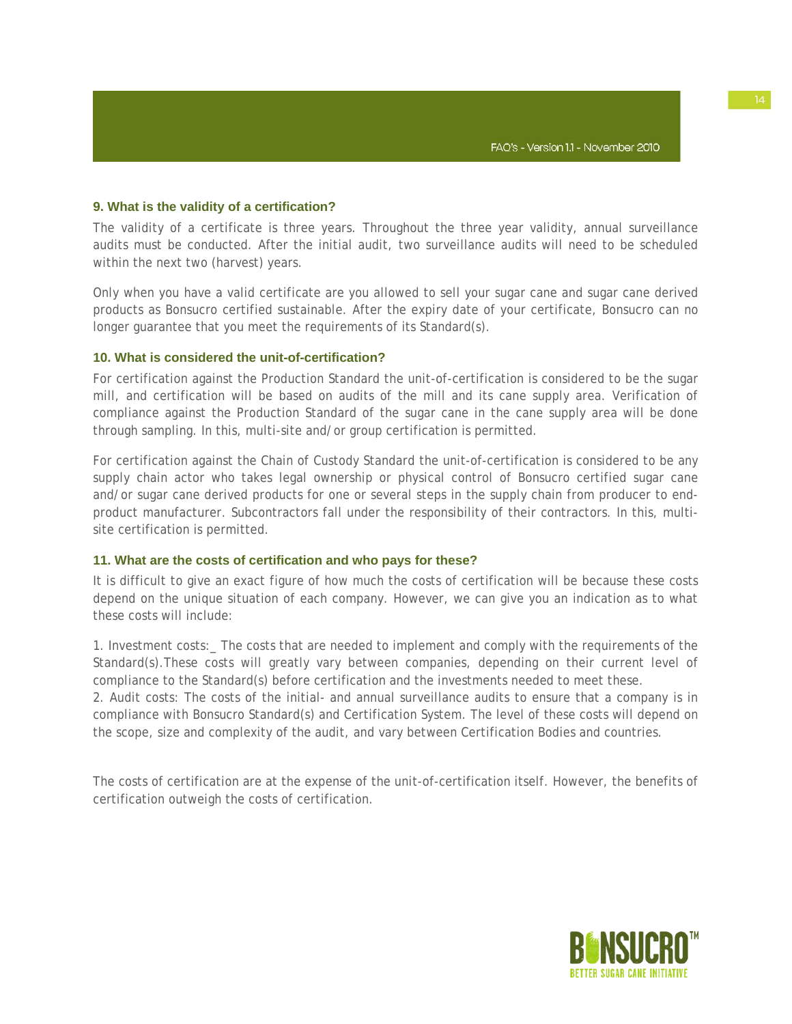# **9. What is the validity of a certification?**

The validity of a certificate is three years. Throughout the three year validity, annual surveillance audits must be conducted. After the initial audit, two surveillance audits will need to be scheduled within the next two (harvest) years.

Only when you have a valid certificate are you allowed to sell your sugar cane and sugar cane derived products as Bonsucro certified sustainable. After the expiry date of your certificate, Bonsucro can no longer guarantee that you meet the requirements of its Standard(s).

### **10. What is considered the unit-of-certification?**

For certification against the Production Standard the unit-of-certification is considered to be the sugar mill, and certification will be based on audits of the mill and its cane supply area. Verification of compliance against the Production Standard of the sugar cane in the cane supply area will be done through sampling. In this, multi-site and/or group certification is permitted.

For certification against the Chain of Custody Standard the unit-of-certification is considered to be any supply chain actor who takes legal ownership or physical control of Bonsucro certified sugar cane and/or sugar cane derived products for one or several steps in the supply chain from producer to endproduct manufacturer. Subcontractors fall under the responsibility of their contractors. In this, multisite certification is permitted.

# **11. What are the costs of certification and who pays for these?**

It is difficult to give an exact figure of how much the costs of certification will be because these costs depend on the unique situation of each company. However, we can give you an indication as to what these costs will include:

1. Investment costs:\_ The costs that are needed to implement and comply with the requirements of the Standard(s). These costs will greatly vary between companies, depending on their current level of compliance to the Standard(s) before certification and the investments needed to meet these. 2. Audit costs: The costs of the initial- and annual surveillance audits to ensure that a company is in compliance with Bonsucro Standard(s) and Certification System. The level of these costs will depend on the scope, size and complexity of the audit, and vary between Certification Bodies and countries.

The costs of certification are at the expense of the unit-of-certification itself. However, the benefits of certification outweigh the costs of certification.

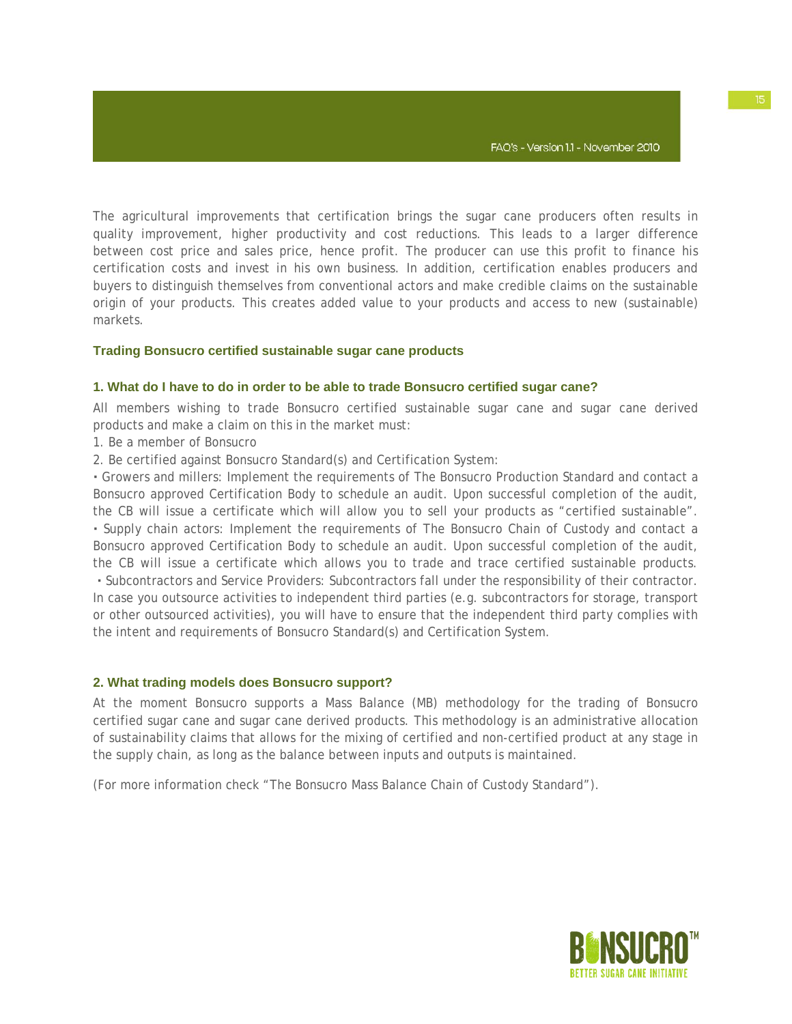The agricultural improvements that certification brings the sugar cane producers often results in quality improvement, higher productivity and cost reductions. This leads to a larger difference between cost price and sales price, hence profit. The producer can use this profit to finance his certification costs and invest in his own business. In addition, certification enables producers and buyers to distinguish themselves from conventional actors and make credible claims on the sustainable origin of your products. This creates added value to your products and access to new (sustainable) markets.

#### **Trading Bonsucro certified sustainable sugar cane products**

#### **1. What do I have to do in order to be able to trade Bonsucro certified sugar cane?**

All members wishing to trade Bonsucro certified sustainable sugar cane and sugar cane derived products and make a claim on this in the market must:

- 1. Be a member of Bonsucro
- 2. Be certified against Bonsucro Standard(s) and Certification System:

**·** Growers and millers: Implement the requirements of The Bonsucro Production Standard and contact a Bonsucro approved Certification Body to schedule an audit. Upon successful completion of the audit, the CB will issue a certificate which will allow you to sell your products as "certified sustainable". **·** Supply chain actors: Implement the requirements of The Bonsucro Chain of Custody and contact a Bonsucro approved Certification Body to schedule an audit. Upon successful completion of the audit, the CB will issue a certificate which allows you to trade and trace certified sustainable products. **·** Subcontractors and Service Providers: Subcontractors fall under the responsibility of their contractor. In case you outsource activities to independent third parties (e.g. subcontractors for storage, transport or other outsourced activities), you will have to ensure that the independent third party complies with the intent and requirements of Bonsucro Standard(s) and Certification System.

#### **2. What trading models does Bonsucro support?**

At the moment Bonsucro supports a Mass Balance (MB) methodology for the trading of Bonsucro certified sugar cane and sugar cane derived products. This methodology is an administrative allocation of sustainability claims that allows for the mixing of certified and non-certified product at any stage in the supply chain, as long as the balance between inputs and outputs is maintained.

(For more information check "The Bonsucro Mass Balance Chain of Custody Standard").

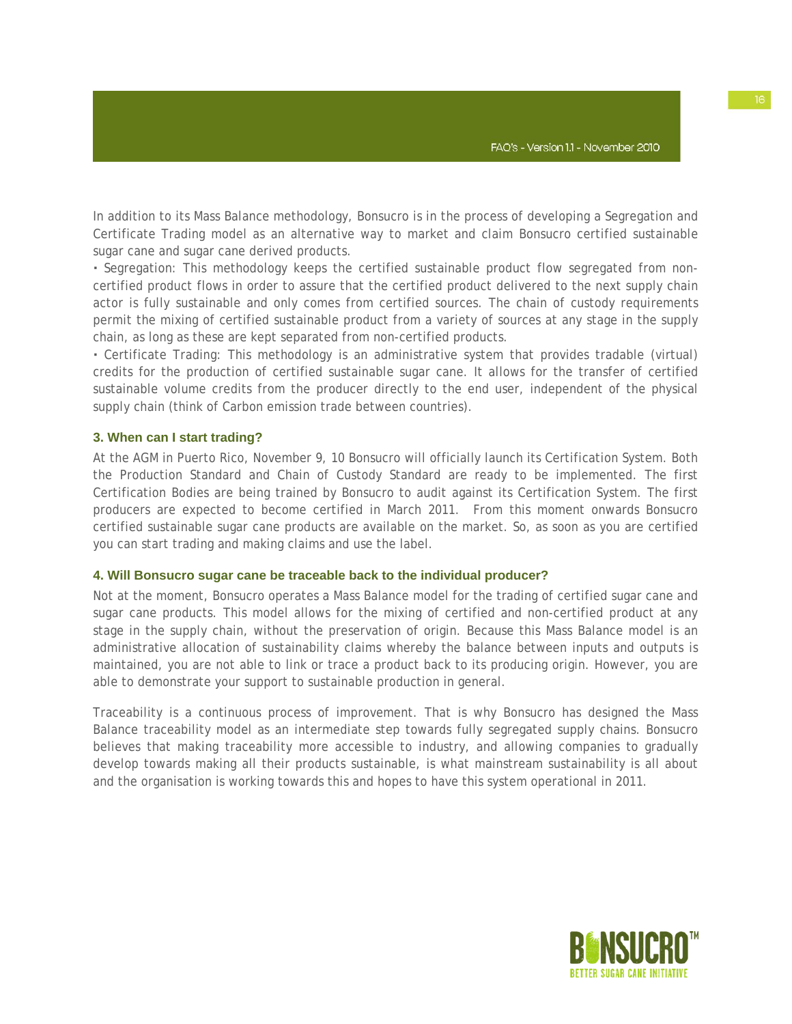In addition to its Mass Balance methodology, Bonsucro is in the process of developing a Segregation and Certificate Trading model as an alternative way to market and claim Bonsucro certified sustainable sugar cane and sugar cane derived products.

**·** Segregation: This methodology keeps the certified sustainable product flow segregated from noncertified product flows in order to assure that the certified product delivered to the next supply chain actor is fully sustainable and only comes from certified sources. The chain of custody requirements permit the mixing of certified sustainable product from a variety of sources at any stage in the supply chain, as long as these are kept separated from non-certified products.

**·** Certificate Trading: This methodology is an administrative system that provides tradable (virtual) credits for the production of certified sustainable sugar cane. It allows for the transfer of certified sustainable volume credits from the producer directly to the end user, independent of the physical supply chain (think of Carbon emission trade between countries).

#### **3. When can I start trading?**

At the AGM in Puerto Rico, November 9, 10 Bonsucro will officially launch its Certification System. Both the Production Standard and Chain of Custody Standard are ready to be implemented. The first Certification Bodies are being trained by Bonsucro to audit against its Certification System. The first producers are expected to become certified in March 2011. From this moment onwards Bonsucro certified sustainable sugar cane products are available on the market. So, as soon as you are certified you can start trading and making claims and use the label.

#### **4. Will Bonsucro sugar cane be traceable back to the individual producer?**

Not at the moment, Bonsucro operates a Mass Balance model for the trading of certified sugar cane and sugar cane products. This model allows for the mixing of certified and non-certified product at any stage in the supply chain, without the preservation of origin. Because this Mass Balance model is an administrative allocation of sustainability claims whereby the balance between inputs and outputs is maintained, you are not able to link or trace a product back to its producing origin. However, you are able to demonstrate your support to sustainable production in general.

Traceability is a continuous process of improvement. That is why Bonsucro has designed the Mass Balance traceability model as an intermediate step towards fully segregated supply chains. Bonsucro believes that making traceability more accessible to industry, and allowing companies to gradually develop towards making all their products sustainable, is what mainstream sustainability is all about and the organisation is working towards this and hopes to have this system operational in 2011.

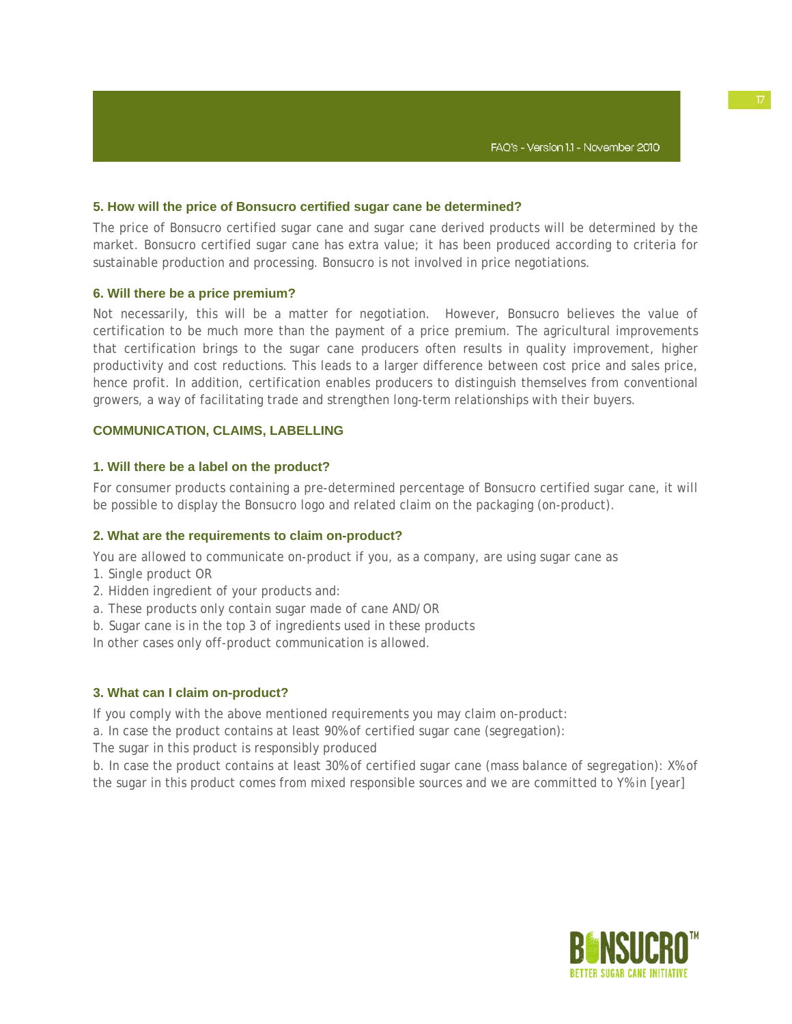#### **5. How will the price of Bonsucro certified sugar cane be determined?**

The price of Bonsucro certified sugar cane and sugar cane derived products will be determined by the market. Bonsucro certified sugar cane has extra value; it has been produced according to criteria for sustainable production and processing. Bonsucro is not involved in price negotiations.

#### **6. Will there be a price premium?**

Not necessarily, this will be a matter for negotiation. However, Bonsucro believes the value of certification to be much more than the payment of a price premium. The agricultural improvements that certification brings to the sugar cane producers often results in quality improvement, higher productivity and cost reductions. This leads to a larger difference between cost price and sales price, hence profit. In addition, certification enables producers to distinguish themselves from conventional growers, a way of facilitating trade and strengthen long-term relationships with their buyers.

#### **COMMUNICATION, CLAIMS, LABELLING**

#### **1. Will there be a label on the product?**

For consumer products containing a pre-determined percentage of Bonsucro certified sugar cane, it will be possible to display the Bonsucro logo and related claim on the packaging (on-product).

#### **2. What are the requirements to claim on-product?**

You are allowed to communicate on-product if you, as a company, are using sugar cane as

- 1. Single product OR
- 2. Hidden ingredient of your products and:
- a. These products only contain sugar made of cane AND/OR
- b. Sugar cane is in the top 3 of ingredients used in these products

In other cases only off-product communication is allowed.

#### **3. What can I claim on-product?**

If you comply with the above mentioned requirements you may claim on-product:

a. In case the product contains at least 90% of certified sugar cane (segregation):

The sugar in this product is responsibly produced

b. In case the product contains at least 30% of certified sugar cane (mass balance of segregation): X% of the sugar in this product comes from mixed responsible sources and we are committed to Y% in [year]

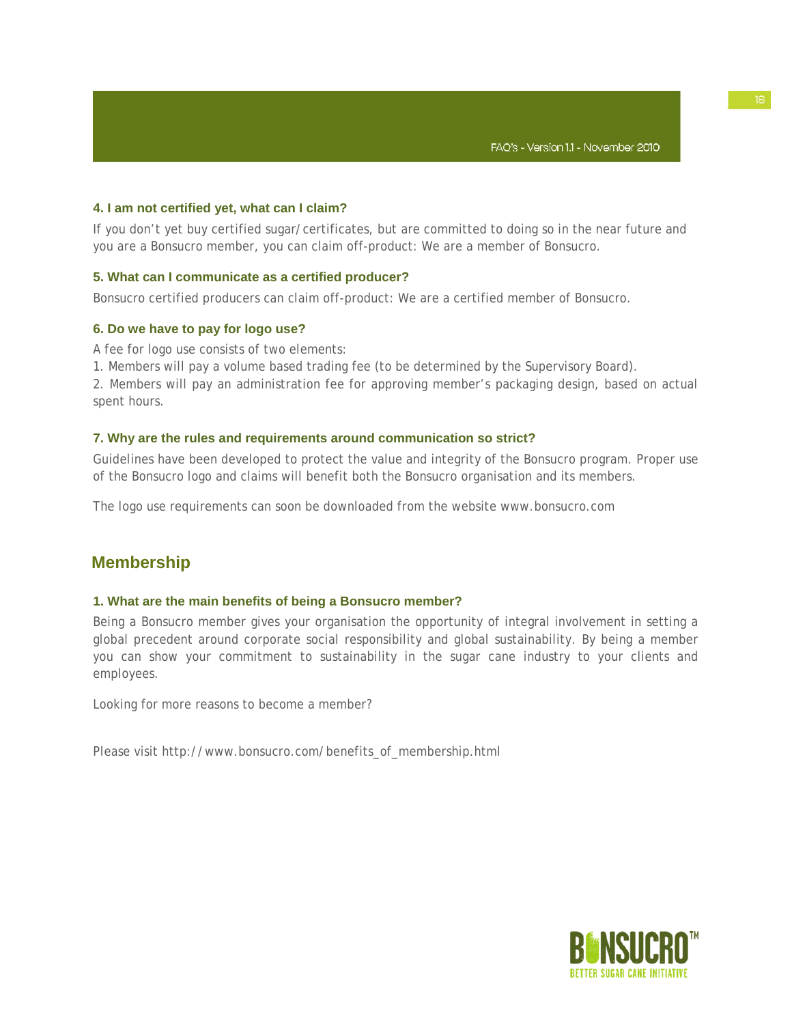### **4. I am not certified yet, what can I claim?**

If you don't yet buy certified sugar/certificates, but are committed to doing so in the near future and you are a Bonsucro member, you can claim off-product: We are a member of Bonsucro.

# **5. What can I communicate as a certified producer?**

Bonsucro certified producers can claim off-product: We are a certified member of Bonsucro.

# **6. Do we have to pay for logo use?**

A fee for logo use consists of two elements:

1. Members will pay a volume based trading fee (to be determined by the Supervisory Board).

2. Members will pay an administration fee for approving member's packaging design, based on actual spent hours.

#### **7. Why are the rules and requirements around communication so strict?**

Guidelines have been developed to protect the value and integrity of the Bonsucro program. Proper use of the Bonsucro logo and claims will benefit both the Bonsucro organisation and its members.

The logo use requirements can soon be downloaded from the website www.bonsucro.com

# **Membership**

### **1. What are the main benefits of being a Bonsucro member?**

Being a Bonsucro member gives your organisation the opportunity of integral involvement in setting a global precedent around corporate social responsibility and global sustainability. By being a member you can show your commitment to sustainability in the sugar cane industry to your clients and employees.

Looking for more reasons to become a member?

Please visit http://www.bonsucro.com/benefits\_of\_membership.html

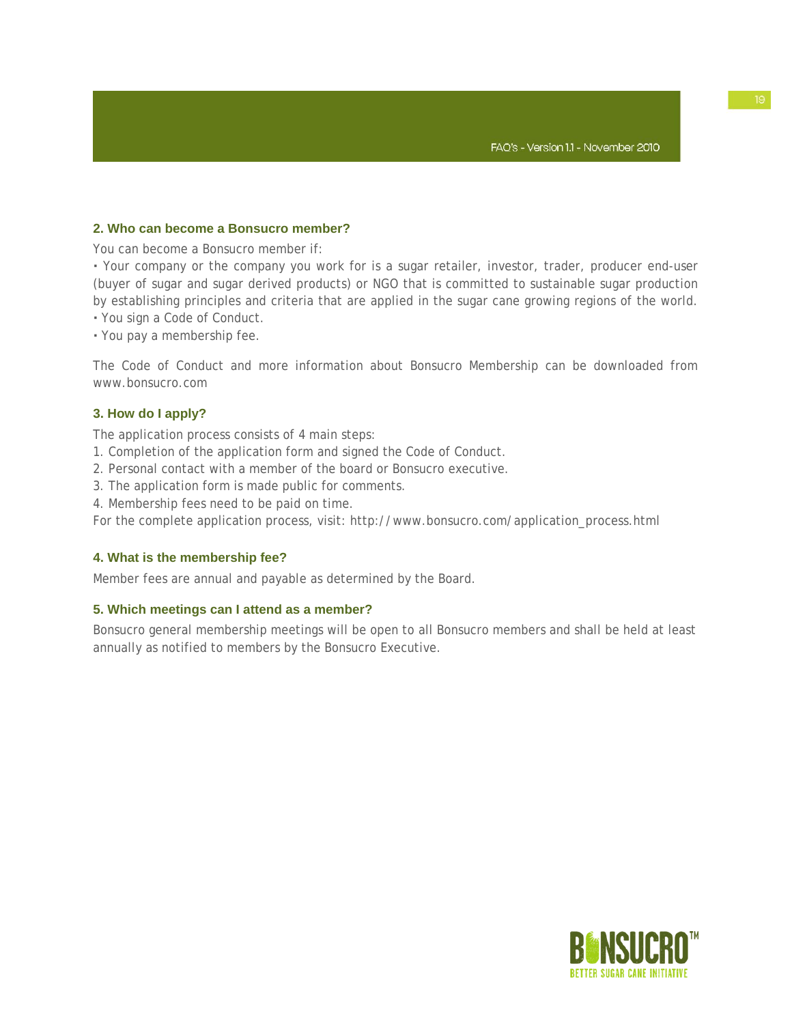# **2. Who can become a Bonsucro member?**

You can become a Bonsucro member if:

**·** Your company or the company you work for is a sugar retailer, investor, trader, producer end-user (buyer of sugar and sugar derived products) or NGO that is committed to sustainable sugar production by establishing principles and criteria that are applied in the sugar cane growing regions of the world.

- **·** You sign a Code of Conduct.
- **·** You pay a membership fee.

The Code of Conduct and more information about Bonsucro Membership can be downloaded from www.bonsucro.com

# **3. How do I apply?**

The application process consists of 4 main steps:

- 1. Completion of the application form and signed the Code of Conduct.
- 2. Personal contact with a member of the board or Bonsucro executive.
- 3. The application form is made public for comments.
- 4. Membership fees need to be paid on time.

For the complete application process, visit: http://www.bonsucro.com/application\_process.html

### **4. What is the membership fee?**

Member fees are annual and payable as determined by the Board.

### **5. Which meetings can I attend as a member?**

Bonsucro general membership meetings will be open to all Bonsucro members and shall be held at least annually as notified to members by the Bonsucro Executive.